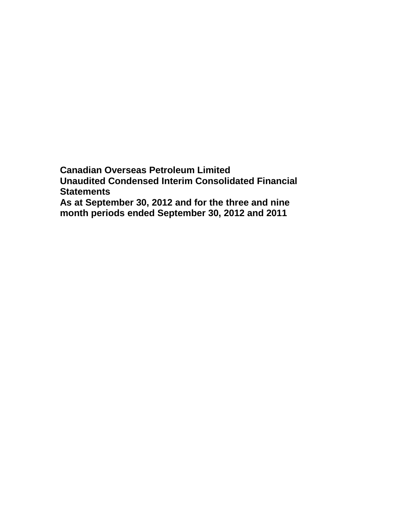**Canadian Overseas Petroleum Limited Unaudited Condensed Interim Consolidated Financial Statements As at September 30, 2012 and for the three and nine month periods ended September 30, 2012 and 2011**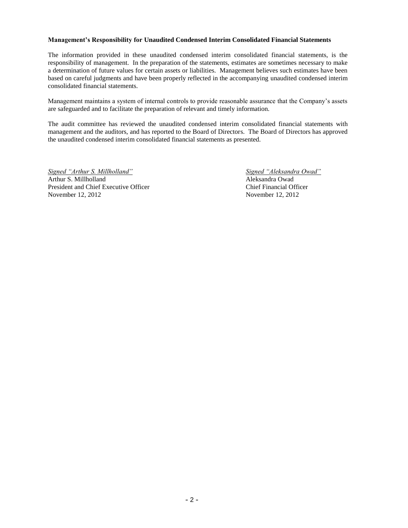#### **Management's Responsibility for Unaudited Condensed Interim Consolidated Financial Statements**

The information provided in these unaudited condensed interim consolidated financial statements, is the responsibility of management. In the preparation of the statements, estimates are sometimes necessary to make a determination of future values for certain assets or liabilities. Management believes such estimates have been based on careful judgments and have been properly reflected in the accompanying unaudited condensed interim consolidated financial statements.

Management maintains a system of internal controls to provide reasonable assurance that the Company's assets are safeguarded and to facilitate the preparation of relevant and timely information.

The audit committee has reviewed the unaudited condensed interim consolidated financial statements with management and the auditors, and has reported to the Board of Directors. The Board of Directors has approved the unaudited condensed interim consolidated financial statements as presented.

*Signed "Arthur S. Millholland" Signed "Aleksandra Owad"* Arthur S. Millholland Aleksandra Owad President and Chief Executive Officer<br>
November 12, 2012<br>
November 12, 2012 November 12, 2012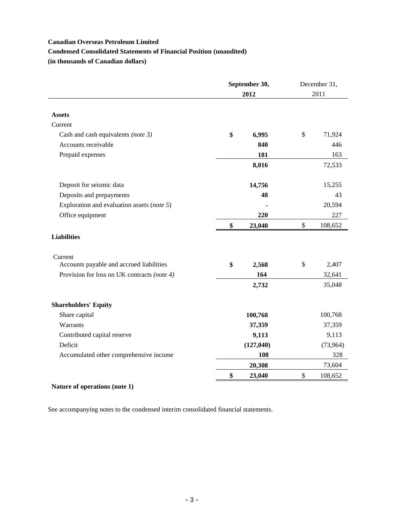### **Condensed Consolidated Statements of Financial Position (unaudited)**

**(in thousands of Canadian dollars)**

|                                             | September 30, |            | December 31,  |           |  |
|---------------------------------------------|---------------|------------|---------------|-----------|--|
|                                             |               | 2012       | 2011          |           |  |
| <b>Assets</b>                               |               |            |               |           |  |
| Current                                     |               |            |               |           |  |
| Cash and cash equivalents (note 3)          | \$            | 6,995      | \$            | 71,924    |  |
| Accounts receivable                         |               | 840        |               | 446       |  |
| Prepaid expenses                            |               | 181        |               | 163       |  |
|                                             |               | 8,016      |               | 72,533    |  |
| Deposit for seismic data                    |               | 14,756     |               | 15,255    |  |
| Deposits and prepayments                    |               | 48         |               | 43        |  |
| Exploration and evaluation assets (note 5)  |               |            |               | 20,594    |  |
| Office equipment                            |               | 220        |               | 227       |  |
|                                             | \$            | 23,040     | \$            | 108,652   |  |
| <b>Liabilities</b>                          |               |            |               |           |  |
| Current                                     |               |            |               |           |  |
| Accounts payable and accrued liabilities    | \$            | 2,568      | \$            | 2,407     |  |
| Provision for loss on UK contracts (note 4) |               | 164        |               | 32,641    |  |
|                                             |               | 2,732      |               | 35,048    |  |
| <b>Shareholders' Equity</b>                 |               |            |               |           |  |
| Share capital                               |               | 100,768    |               | 100,768   |  |
| Warrants                                    |               | 37,359     |               | 37,359    |  |
| Contributed capital reserve                 |               | 9,113      |               | 9,113     |  |
| Deficit                                     |               | (127, 040) |               | (73, 964) |  |
| Accumulated other comprehensive income      |               | 108        |               | 328       |  |
|                                             |               | 20,308     |               | 73,604    |  |
|                                             | \$            | 23,040     | $\mathcal{S}$ | 108,652   |  |

# **Nature of operations (note 1)**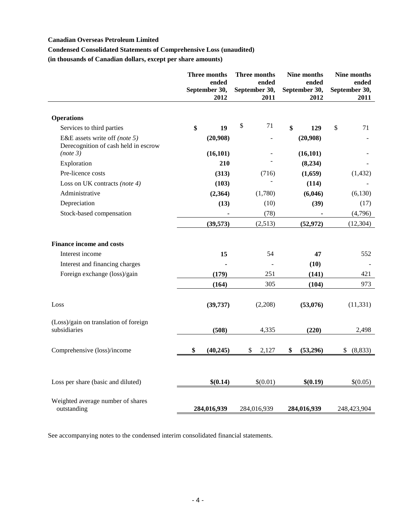## **Condensed Consolidated Statements of Comprehensive Loss (unaudited)**

**(in thousands of Canadian dollars, except per share amounts)**

|                                                                       | <b>Three months</b><br>ended<br>September 30,<br>2012 | Three months<br>ended<br>September 30,<br>2011 |             | Nine months<br>ended<br>September 30,<br>2012 |             | Nine months<br>ended<br>September 30,<br>2011 |                |
|-----------------------------------------------------------------------|-------------------------------------------------------|------------------------------------------------|-------------|-----------------------------------------------|-------------|-----------------------------------------------|----------------|
| <b>Operations</b>                                                     |                                                       |                                                |             |                                               |             |                                               |                |
| Services to third parties                                             | \$<br>19                                              | \$                                             | 71          | \$                                            | 129         | $\mathsf{\$}$                                 | 71             |
| E&E assets write off (note 5)<br>Derecognition of cash held in escrow | (20,908)                                              |                                                |             |                                               | (20,908)    |                                               |                |
| (note 3)                                                              | (16, 101)                                             |                                                |             |                                               | (16, 101)   |                                               |                |
| Exploration                                                           | 210                                                   |                                                |             |                                               | (8,234)     |                                               |                |
| Pre-licence costs                                                     | (313)                                                 |                                                | (716)       |                                               | (1,659)     |                                               | (1, 432)       |
| Loss on UK contracts (note 4)                                         | (103)                                                 |                                                |             |                                               | (114)       |                                               |                |
| Administrative                                                        | (2,364)                                               |                                                | (1,780)     |                                               | (6,046)     |                                               | (6,130)        |
| Depreciation                                                          | (13)                                                  |                                                | (10)        |                                               | (39)        |                                               | (17)           |
| Stock-based compensation                                              |                                                       |                                                | (78)        |                                               |             |                                               | (4,796)        |
|                                                                       | (39,573)                                              |                                                | (2,513)     |                                               | (52, 972)   |                                               | (12, 304)      |
| <b>Finance income and costs</b>                                       |                                                       |                                                |             |                                               |             |                                               |                |
| Interest income                                                       | 15                                                    |                                                | 54          |                                               | 47          |                                               | 552            |
| Interest and financing charges                                        |                                                       |                                                |             |                                               | (10)        |                                               |                |
| Foreign exchange (loss)/gain                                          | (179)                                                 | 251                                            |             |                                               | (141)       |                                               | 421            |
|                                                                       | (164)                                                 |                                                | 305         |                                               | (104)       |                                               | 973            |
| Loss                                                                  | (39, 737)                                             |                                                | (2,208)     |                                               | (53,076)    |                                               | (11, 331)      |
| (Loss)/gain on translation of foreign<br>subsidiaries                 | (508)                                                 |                                                | 4,335       |                                               | (220)       |                                               | 2,498          |
| Comprehensive (loss)/income                                           | \$<br>(40, 245)                                       | \$                                             | 2,127       | \$                                            | (53,296)    |                                               | (8, 833)<br>\$ |
| Loss per share (basic and diluted)                                    | \$(0.14)                                              |                                                | \$(0.01)    |                                               | \$(0.19)    |                                               | \$(0.05)       |
|                                                                       |                                                       |                                                |             |                                               |             |                                               |                |
| Weighted average number of shares<br>outstanding                      | 284,016,939                                           |                                                | 284,016,939 |                                               | 284,016,939 |                                               | 248,423,904    |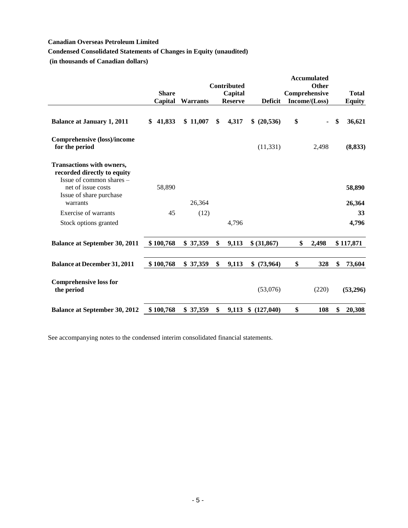# **Condensed Consolidated Statements of Changes in Equity (unaudited)**

**(in thousands of Canadian dollars)**

|                                                                                             |              |                 | Contributed    |                  | <b>Accumulated</b><br><b>Other</b> |                  |
|---------------------------------------------------------------------------------------------|--------------|-----------------|----------------|------------------|------------------------------------|------------------|
|                                                                                             | <b>Share</b> |                 | Capital        |                  | Comprehensive                      | <b>Total</b>     |
|                                                                                             | Capital      | <b>Warrants</b> | <b>Reserve</b> | <b>Deficit</b>   | Income/(Loss)                      | <b>Equity</b>    |
| <b>Balance at January 1, 2011</b>                                                           | 41,833<br>\$ | \$11,007        | \$<br>4,317    | \$ (20,536)      | \$<br>$\blacksquare$               | \$<br>36,621     |
| <b>Comprehensive (loss)/income</b><br>for the period                                        |              |                 |                | (11, 331)        | 2,498                              | (8, 833)         |
| <b>Transactions with owners,</b><br>recorded directly to equity<br>Issue of common shares - |              |                 |                |                  |                                    |                  |
| net of issue costs<br>Issue of share purchase<br>warrants                                   | 58,890       | 26,364          |                |                  |                                    | 58,890<br>26,364 |
| Exercise of warrants                                                                        | 45           | (12)            |                |                  |                                    | 33               |
| Stock options granted                                                                       |              |                 | 4,796          |                  |                                    | 4,796            |
| <b>Balance at September 30, 2011</b>                                                        | \$100,768    | \$37,359        | \$<br>9,113    | \$ (31,867)      | \$<br>2,498                        | \$117,871        |
| <b>Balance at December 31, 2011</b>                                                         | \$100,768    | \$37,359        | \$<br>9,113    | \$ (73,964)      | \$<br>328                          | \$<br>73,604     |
| <b>Comprehensive loss for</b><br>the period                                                 |              |                 |                | (53,076)         | (220)                              | (53,296)         |
| <b>Balance at September 30, 2012</b>                                                        | \$100,768    | \$37,359        | \$<br>9,113    | (127, 040)<br>\$ | \$<br>108                          | \$<br>20,308     |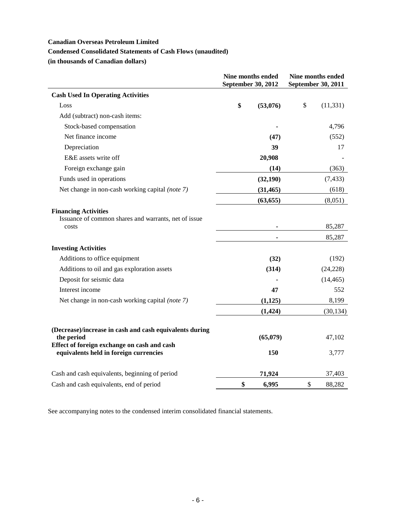# **Condensed Consolidated Statements of Cash Flows (unaudited)**

**(in thousands of Canadian dollars)**

|                                                                                              | Nine months ended<br>September 30, 2012 | Nine months ended<br>September 30, 2011 |  |  |
|----------------------------------------------------------------------------------------------|-----------------------------------------|-----------------------------------------|--|--|
| <b>Cash Used In Operating Activities</b>                                                     |                                         |                                         |  |  |
| Loss                                                                                         | \$<br>(53,076)                          | \$<br>(11, 331)                         |  |  |
| Add (subtract) non-cash items:                                                               |                                         |                                         |  |  |
| Stock-based compensation                                                                     | $\blacksquare$                          | 4,796                                   |  |  |
| Net finance income                                                                           | (47)                                    | (552)                                   |  |  |
| Depreciation                                                                                 | 39                                      | 17                                      |  |  |
| E&E assets write off                                                                         | 20,908                                  |                                         |  |  |
| Foreign exchange gain                                                                        | (14)                                    | (363)                                   |  |  |
| Funds used in operations                                                                     | (32,190)                                | (7, 433)                                |  |  |
| Net change in non-cash working capital (note 7)                                              | (31, 465)                               | (618)                                   |  |  |
|                                                                                              | (63, 655)                               | (8,051)                                 |  |  |
| <b>Financing Activities</b><br>Issuance of common shares and warrants, net of issue<br>costs |                                         | 85,287<br>85,287                        |  |  |
| <b>Investing Activities</b>                                                                  |                                         |                                         |  |  |
| Additions to office equipment                                                                | (32)                                    | (192)                                   |  |  |
| Additions to oil and gas exploration assets                                                  | (314)                                   | (24, 228)                               |  |  |
| Deposit for seismic data                                                                     |                                         | (14, 465)                               |  |  |
| Interest income                                                                              | 47                                      | 552                                     |  |  |
| Net change in non-cash working capital (note 7)                                              | (1,125)                                 | 8,199                                   |  |  |
|                                                                                              | (1, 424)                                | (30, 134)                               |  |  |
| (Decrease)/increase in cash and cash equivalents during<br>the period                        | (65,079)                                | 47,102                                  |  |  |
| Effect of foreign exchange on cash and cash<br>equivalents held in foreign currencies        | 150                                     | 3,777                                   |  |  |
| Cash and cash equivalents, beginning of period                                               | 71,924                                  | 37,403                                  |  |  |
| Cash and cash equivalents, end of period                                                     | \$<br>6,995                             | \$<br>88,282                            |  |  |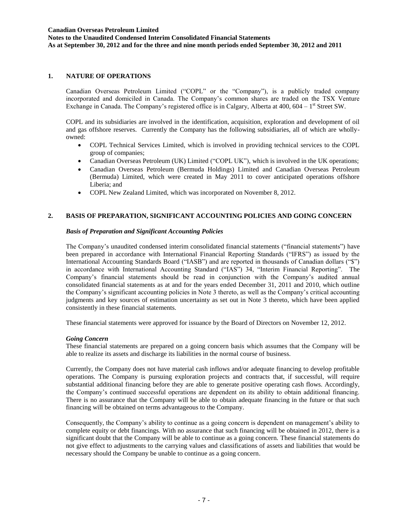**Notes to the Unaudited Condensed Interim Consolidated Financial Statements As at September 30, 2012 and for the three and nine month periods ended September 30, 2012 and 2011**

### **1. NATURE OF OPERATIONS**

Canadian Overseas Petroleum Limited ("COPL" or the "Company"), is a publicly traded company incorporated and domiciled in Canada. The Company's common shares are traded on the TSX Venture Exchange in Canada. The Company's registered office is in Calgary, Alberta at 400, 604 –  $1<sup>st</sup>$  Street SW.

COPL and its subsidiaries are involved in the identification, acquisition, exploration and development of oil and gas offshore reserves. Currently the Company has the following subsidiaries, all of which are whollyowned:

- COPL Technical Services Limited, which is involved in providing technical services to the COPL group of companies;
- Canadian Overseas Petroleum (UK) Limited ("COPL UK"), which is involved in the UK operations;
- Canadian Overseas Petroleum (Bermuda Holdings) Limited and Canadian Overseas Petroleum (Bermuda) Limited, which were created in May 2011 to cover anticipated operations offshore Liberia; and
- COPL New Zealand Limited, which was incorporated on November 8, 2012.

## **2. BASIS OF PREPARATION, SIGNIFICANT ACCOUNTING POLICIES AND GOING CONCERN**

### *Basis of Preparation and Significant Accounting Policies*

The Company's unaudited condensed interim consolidated financial statements ("financial statements") have been prepared in accordance with International Financial Reporting Standards ("IFRS") as issued by the International Accounting Standards Board ("IASB") and are reported in thousands of Canadian dollars ("\$") in accordance with International Accounting Standard ("IAS") 34, "Interim Financial Reporting". The Company's financial statements should be read in conjunction with the Company's audited annual consolidated financial statements as at and for the years ended December 31, 2011 and 2010, which outline the Company's significant accounting policies in Note 3 thereto, as well as the Company's critical accounting judgments and key sources of estimation uncertainty as set out in Note 3 thereto, which have been applied consistently in these financial statements.

These financial statements were approved for issuance by the Board of Directors on November 12, 2012.

#### *Going Concern*

These financial statements are prepared on a going concern basis which assumes that the Company will be able to realize its assets and discharge its liabilities in the normal course of business.

Currently, the Company does not have material cash inflows and/or adequate financing to develop profitable operations. The Company is pursuing exploration projects and contracts that, if successful, will require substantial additional financing before they are able to generate positive operating cash flows. Accordingly, the Company's continued successful operations are dependent on its ability to obtain additional financing. There is no assurance that the Company will be able to obtain adequate financing in the future or that such financing will be obtained on terms advantageous to the Company.

Consequently, the Company's ability to continue as a going concern is dependent on management's ability to complete equity or debt financings. With no assurance that such financing will be obtained in 2012, there is a significant doubt that the Company will be able to continue as a going concern. These financial statements do not give effect to adjustments to the carrying values and classifications of assets and liabilities that would be necessary should the Company be unable to continue as a going concern.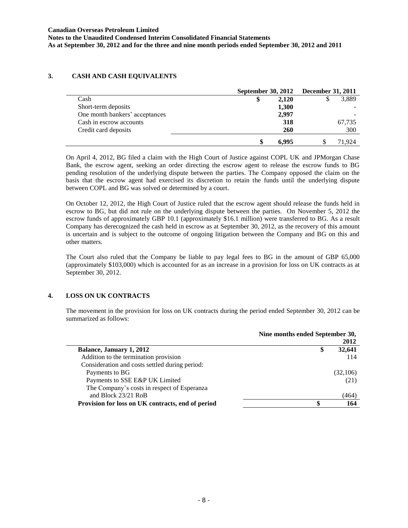**Notes to the Unaudited Condensed Interim Consolidated Financial Statements As at September 30, 2012 and for the three and nine month periods ended September 30, 2012 and 2011**

## **3. CASH AND CASH EQUIVALENTS**

|                                |       | September 30, 2012 December 31, 2011 |
|--------------------------------|-------|--------------------------------------|
| Cash                           | 2,120 | 3,889                                |
| Short-term deposits            | 1,300 |                                      |
| One month bankers' acceptances | 2,997 |                                      |
| Cash in escrow accounts        | 318   | 67,735                               |
| Credit card deposits           | 260   | 300                                  |
|                                | 6.995 | 71.924                               |

On April 4, 2012, BG filed a claim with the High Court of Justice against COPL UK and JPMorgan Chase Bank, the escrow agent, seeking an order directing the escrow agent to release the escrow funds to BG pending resolution of the underlying dispute between the parties. The Company opposed the claim on the basis that the escrow agent had exercised its discretion to retain the funds until the underlying dispute between COPL and BG was solved or determined by a court.

On October 12, 2012, the High Court of Justice ruled that the escrow agent should release the funds held in escrow to BG, but did not rule on the underlying dispute between the parties. On November 5, 2012 the escrow funds of approximately GBP 10.1 (approximately \$16.1 million) were transferred to BG. As a result Company has derecognized the cash held in escrow as at September 30, 2012, as the recovery of this amount is uncertain and is subject to the outcome of ongoing litigation between the Company and BG on this and other matters.

The Court also ruled that the Company be liable to pay legal fees to BG in the amount of GBP 65,000 (approximately \$103,000) which is accounted for as an increase in a provision for loss on UK contracts as at September 30, 2012.

## **4. LOSS ON UK CONTRACTS**

The movement in the provision for loss on UK contracts during the period ended September 30, 2012 can be summarized as follows:

|                                                   | Nine months ended September 30,<br>2012 |  |  |  |
|---------------------------------------------------|-----------------------------------------|--|--|--|
| Balance, January 1, 2012                          | 32,641<br>\$                            |  |  |  |
| Addition to the termination provision             | 114                                     |  |  |  |
| Consideration and costs settled during period:    |                                         |  |  |  |
| Payments to BG                                    | (32,106)                                |  |  |  |
| Payments to SSE E&P UK Limited                    | (21)                                    |  |  |  |
| The Company's costs in respect of Esperanza       |                                         |  |  |  |
| and Block 23/21 RoB                               | (464)                                   |  |  |  |
| Provision for loss on UK contracts, end of period | 164                                     |  |  |  |